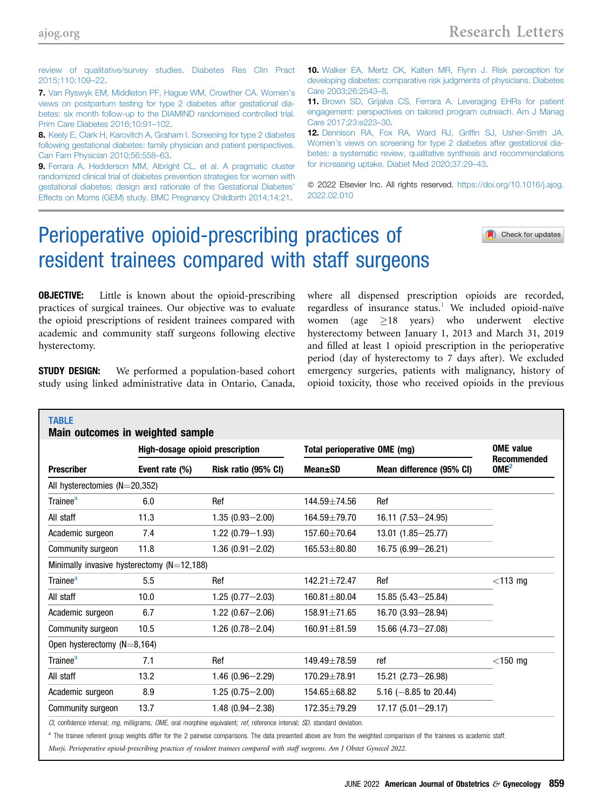<span id="page-0-0"></span>[review of qualitative/survey studies. Diabetes Res Clin Pract](http://refhub.elsevier.com/S0002-9378(22)00144-2/sref6) [2015;110:109](http://refhub.elsevier.com/S0002-9378(22)00144-2/sref6)–22.

7. [Van Ryswyk EM, Middleton PF, Hague WM, Crowther CA. Women](http://refhub.elsevier.com/S0002-9378(22)00110-7/sref7)'s [views on postpartum testing for type 2 diabetes after gestational dia](http://refhub.elsevier.com/S0002-9378(22)00110-7/sref7)[betes: six month follow-up to the DIAMIND randomised controlled trial.](http://refhub.elsevier.com/S0002-9378(22)00110-7/sref7) [Prim Care Diabetes 2016;10:91](http://refhub.elsevier.com/S0002-9378(22)00110-7/sref7)–102.

8. [Keely E, Clark H, Karovitch A, Graham I. Screening for type 2 diabetes](http://refhub.elsevier.com/S0002-9378(22)00110-7/sref8) [following gestational diabetes: family physician and patient perspectives.](http://refhub.elsevier.com/S0002-9378(22)00110-7/sref8) [Can Fam Physician 2010;56:558](http://refhub.elsevier.com/S0002-9378(22)00110-7/sref8)–63.

9. [Ferrara A, Hedderson MM, Albright CL, et al. A pragmatic cluster](http://refhub.elsevier.com/S0002-9378(22)00110-7/sref9) [randomized clinical trial of diabetes prevention strategies for women with](http://refhub.elsevier.com/S0002-9378(22)00110-7/sref9) [gestational diabetes: design and rationale of the Gestational Diabetes](http://refhub.elsevier.com/S0002-9378(22)00110-7/sref9)' [Effects on Moms \(GEM\) study. BMC Pregnancy Childbirth 2014;14:21](http://refhub.elsevier.com/S0002-9378(22)00110-7/sref9).

10. [Walker EA, Mertz CK, Kalten MR, Flynn J. Risk perception for](http://refhub.elsevier.com/S0002-9378(22)00110-7/sref10) [developing diabetes: comparative risk judgments of physicians. Diabetes](http://refhub.elsevier.com/S0002-9378(22)00110-7/sref10) [Care 2003;26:2543](http://refhub.elsevier.com/S0002-9378(22)00110-7/sref10)–8.

11. [Brown SD, Grijalva CS, Ferrara A. Leveraging EHRs for patient](http://refhub.elsevier.com/S0002-9378(22)00110-7/sref11) [engagement: perspectives on tailored program outreach. Am J Manag](http://refhub.elsevier.com/S0002-9378(22)00110-7/sref11) [Care 2017;23:e223](http://refhub.elsevier.com/S0002-9378(22)00110-7/sref11)–30.

12. [Dennison RA, Fox RA, Ward RJ, Grif](http://refhub.elsevier.com/S0002-9378(22)00110-7/sref12)fin SJ, Usher-Smith JA. Women'[s views on screening for type 2 diabetes after gestational dia](http://refhub.elsevier.com/S0002-9378(22)00110-7/sref12)[betes: a systematic review, qualitative synthesis and recommendations](http://refhub.elsevier.com/S0002-9378(22)00110-7/sref12) [for increasing uptake. Diabet Med 2020;37:29](http://refhub.elsevier.com/S0002-9378(22)00110-7/sref12)–43.

© 2022 Elsevier Inc. All rights reserved. [https://doi.org/10.1016/j.ajog.](https://doi.org/10.1016/j.ajog.2022.02.010) [2022.02.010](https://doi.org/10.1016/j.ajog.2022.02.010)

# Perioperative opioid-prescribing practices of resident trainees compared with staff surgeons

Check for updates

#### **OBJECTIVE:** Little is known about the opioid-prescribing practices of surgical trainees. Our objective was to evaluate the opioid prescriptions of resident trainees compared with academic and community staff surgeons following elective hysterectomy.

**STUDY DESIGN:** We performed a population-based cohort study using linked administrative data in Ontario, Canada,

where all dispensed prescription opioids are recorded, regardless of insurance status.<sup>1</sup> We included opioid-naïve women (age  $\geq 18$  years) who underwent elective hysterectomy between January 1, 2013 and March 31, 2019 and filled at least 1 opioid prescription in the perioperative period (day of hysterectomy to 7 days after). We excluded emergency surgeries, patients with malignancy, history of opioid toxicity, those who received opioids in the previous

|                                              | <b>High-dosage opioid prescription</b> |                     | Total perioperative OME (mg) | <b>OME</b> value<br><b>Recommended</b> |                  |  |
|----------------------------------------------|----------------------------------------|---------------------|------------------------------|----------------------------------------|------------------|--|
| <b>Prescriber</b>                            | Event rate (%)                         | Risk ratio (95% CI) | Mean±SD                      | Mean difference (95% CI)               | OME <sup>2</sup> |  |
| All hysterectomies $(N=20,352)$              |                                        |                     |                              |                                        |                  |  |
| Trainee <sup>a</sup>                         | 6.0                                    | Ref                 | 144.59±74.56                 | Ref                                    |                  |  |
| All staff                                    | 11.3                                   | $1.35(0.93 - 2.00)$ | $164.59 \pm 79.70$           | 16.11 (7.53-24.95)                     |                  |  |
| Academic surgeon                             | 7.4                                    | $1.22(0.79 - 1.93)$ | 157.60±70.64                 | 13.01 (1.85 - 25.77)                   |                  |  |
| Community surgeon                            | 11.8                                   | $1.36(0.91 - 2.02)$ | $165.53 \pm 80.80$           | 16.75 (6.99 - 26.21)                   |                  |  |
| Minimally invasive hysterectomy $(N=12,188)$ |                                        |                     |                              |                                        |                  |  |
| Trainee <sup>a</sup>                         | 5.5                                    | Ref                 | $142.21 + 72.47$             | Ref                                    | $<$ 113 mg       |  |
| All staff                                    | 10.0                                   | $1.25(0.77 - 2.03)$ | $160.81 \pm 80.04$           | $15.85(5.43 - 25.84)$                  |                  |  |
| Academic surgeon                             | 6.7                                    | $1.22(0.67 - 2.06)$ | $158.91 \pm 71.65$           | $16.70(3.93 - 28.94)$                  |                  |  |
| Community surgeon                            | 10.5                                   | $1.26(0.78 - 2.04)$ | $160.91 \pm 81.59$           | $15.66$ (4.73-27.08)                   |                  |  |
| Open hysterectomy $(N=8, 164)$               |                                        |                     |                              |                                        |                  |  |
| Trainee <sup>a</sup>                         | 7.1                                    | Ref                 | 149.49±78.59                 | ref                                    | $<$ 150 mg       |  |
| All staff                                    | 13.2                                   | $1.46(0.96 - 2.29)$ | 170.29±78.91                 | 15.21 (2.73-26.98)                     |                  |  |
| Academic surgeon                             | 8.9                                    | $1.25(0.75 - 2.00)$ | 154.65±68.82                 | 5.16 $(-8.85 \text{ to } 20.44)$       |                  |  |
| Community surgeon                            | 13.7                                   | $1.48(0.94 - 2.38)$ | 172.35±79.29                 | $17.17(5.01 - 29.17)$                  |                  |  |

CI, confidence interval; mg, milligrams; OME, oral morphine equivalent; ref, reference interval; SD, standard deviation.

<sup>a</sup> The trainee referent group weights differ for the 2 pairwise comparisons. The data presented above are from the weighted comparison of the trainees vs academic staff.

Murji. Perioperative opioid-prescribing practices of resident trainees compared with staff surgeons. Am J Obstet Gynecol 2022.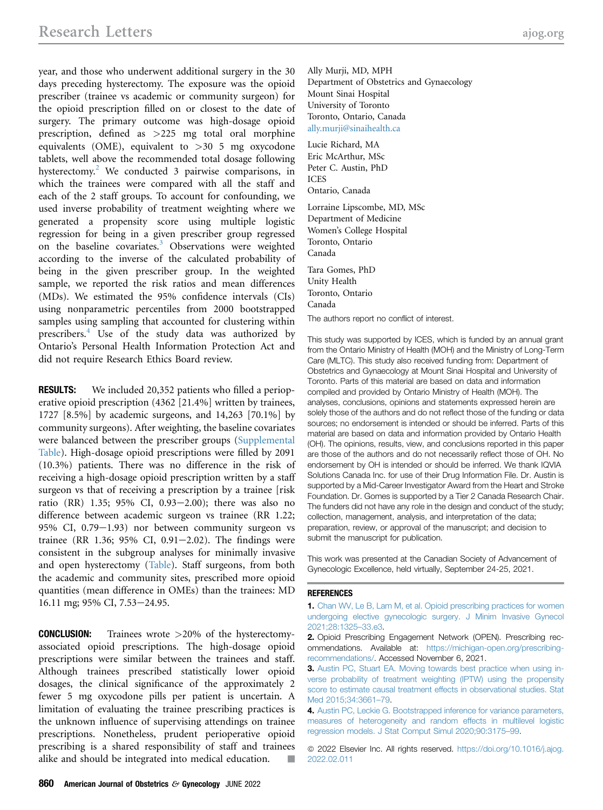<span id="page-1-0"></span>year, and those who underwent additional surgery in the 30 days preceding hysterectomy. The exposure was the opioid prescriber (trainee vs academic or community surgeon) for the opioid prescription filled on or closest to the date of surgery. The primary outcome was high-dosage opioid prescription, defined as >225 mg total oral morphine equivalents (OME), equivalent to >30 5 mg oxycodone tablets, well above the recommended total dosage following hysterectomy.<sup>2</sup> We conducted 3 pairwise comparisons, in which the trainees were compared with all the staff and each of the 2 staff groups. To account for confounding, we used inverse probability of treatment weighting where we generated a propensity score using multiple logistic regression for being in a given prescriber group regressed on the baseline covariates.<sup>3</sup> Observations were weighted according to the inverse of the calculated probability of being in the given prescriber group. In the weighted sample, we reported the risk ratios and mean differences (MDs). We estimated the 95% confidence intervals (CIs) using nonparametric percentiles from 2000 bootstrapped samples using sampling that accounted for clustering within prescribers.<sup>4</sup> Use of the study data was authorized by Ontario's Personal Health Information Protection Act and did not require Research Ethics Board review.

**RESULTS:** We included 20,352 patients who filled a perioperative opioid prescription (4362 [21.4%] written by trainees, 1727 [8.5%] by academic surgeons, and 14,263 [70.1%] by community surgeons). After weighting, the baseline covariates were balanced between the prescriber groups (Supplemental Table). High-dosage opioid prescriptions were filled by 2091 (10.3%) patients. There was no difference in the risk of receiving a high-dosage opioid prescription written by a staff surgeon vs that of receiving a prescription by a trainee [risk ratio (RR) 1.35; 95% CI, 0.93-2.00); there was also no difference between academic surgeon vs trainee (RR 1.22; 95% CI,  $0.79-1.93$ ) nor between community surgeon vs trainee (RR 1.36; 95% CI, 0.91 $-2.02$ ). The findings were consistent in the subgroup analyses for minimally invasive and open hysterectomy [\(Table](#page-0-0)). Staff surgeons, from both the academic and community sites, prescribed more opioid quantities (mean difference in OMEs) than the trainees: MD 16.11 mg; 95% CI, 7.53-24.95.

**CONCLUSION:** Trainees wrote  $>20\%$  of the hysterectomyassociated opioid prescriptions. The high-dosage opioid prescriptions were similar between the trainees and staff. Although trainees prescribed statistically lower opioid dosages, the clinical significance of the approximately 2 fewer 5 mg oxycodone pills per patient is uncertain. A limitation of evaluating the trainee prescribing practices is the unknown influence of supervising attendings on trainee prescriptions. Nonetheless, prudent perioperative opioid prescribing is a shared responsibility of staff and trainees alike and should be integrated into medical education.

Ally Murji, MD, MPH Department of Obstetrics and Gynaecology Mount Sinai Hospital University of Toronto Toronto, Ontario, Canada [ally.murji@sinaihealth.ca](mailto:ally.murji@sinaihealth.ca)

Lucie Richard, MA Eric McArthur, MSc Peter C. Austin, PhD ICES Ontario, Canada Lorraine Lipscombe, MD, MSc Department of Medicine Women's College Hospital Toronto, Ontario Canada Tara Gomes, PhD Unity Health Toronto, Ontario Canada The authors report no conflict of interest.

This study was supported by ICES, which is funded by an annual grant from the Ontario Ministry of Health (MOH) and the Ministry of Long-Term Care (MLTC). This study also received funding from: Department of Obstetrics and Gynaecology at Mount Sinai Hospital and University of Toronto. Parts of this material are based on data and information compiled and provided by Ontario Ministry of Health (MOH). The analyses, conclusions, opinions and statements expressed herein are solely those of the authors and do not reflect those of the funding or data sources; no endorsement is intended or should be inferred. Parts of this material are based on data and information provided by Ontario Health (OH). The opinions, results, view, and conclusions reported in this paper are those of the authors and do not necessarily reflect those of OH. No endorsement by OH is intended or should be inferred. We thank IQVIA Solutions Canada Inc. for use of their Drug Information File. Dr. Austin is supported by a Mid-Career Investigator Award from the Heart and Stroke Foundation. Dr. Gomes is supported by a Tier 2 Canada Research Chair. The funders did not have any role in the design and conduct of the study; collection, management, analysis, and interpretation of the data; preparation, review, or approval of the manuscript; and decision to submit the manuscript for publication.

This work was presented at the Canadian Society of Advancement of Gynecologic Excellence, held virtually, September 24-25, 2021.

#### REFERENCES

1. [Chan WV, Le B, Lam M, et al. Opioid prescribing practices for women](http://refhub.elsevier.com/S0002-9378(22)00106-5/sref1) [undergoing elective gynecologic surgery. J Minim Invasive Gynecol](http://refhub.elsevier.com/S0002-9378(22)00106-5/sref1) [2021;28:1325](http://refhub.elsevier.com/S0002-9378(22)00106-5/sref1)–33.e3.

2. Opioid Prescribing Engagement Network (OPEN). Prescribing recommendations. Available at: [https://michigan-open.org/prescribing](https://michigan-open.org/prescribing-recommendations/)[recommendations/.](https://michigan-open.org/prescribing-recommendations/) Accessed November 6, 2021.

- 3. [Austin PC, Stuart EA. Moving towards best practice when using in](http://refhub.elsevier.com/S0002-9378(22)00106-5/sref3)[verse probability of treatment weighting \(IPTW\) using the propensity](http://refhub.elsevier.com/S0002-9378(22)00106-5/sref3) [score to estimate causal treatment effects in observational studies. Stat](http://refhub.elsevier.com/S0002-9378(22)00106-5/sref3) [Med 2015;34:3661](http://refhub.elsevier.com/S0002-9378(22)00106-5/sref3)–79.
- 4. [Austin PC, Leckie G. Bootstrapped inference for variance parameters,](http://refhub.elsevier.com/S0002-9378(22)00106-5/sref4) [measures of heterogeneity and random effects in multilevel logistic](http://refhub.elsevier.com/S0002-9378(22)00106-5/sref4) [regression models. J Stat Comput Simul 2020;90:3175](http://refhub.elsevier.com/S0002-9378(22)00106-5/sref4)–99.

© 2022 Elsevier Inc. All rights reserved. [https://doi.org/10.1016/j.ajog.](https://doi.org/10.1016/j.ajog.2022.02.011) [2022.02.011](https://doi.org/10.1016/j.ajog.2022.02.011)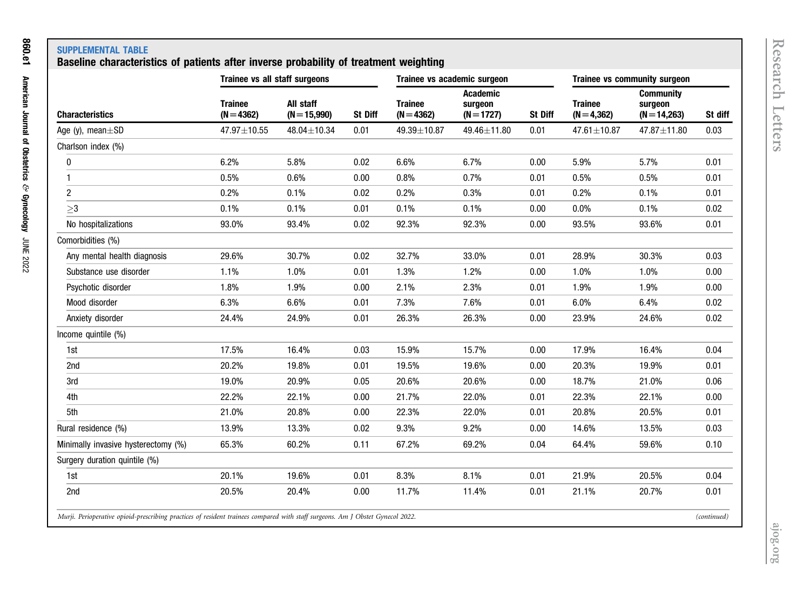# SUPPLEMENTAL TABLE

## Baseline characteristics of patients after inverse probability of treatment weighting

|                                     | Trainee vs all staff surgeons  |                             |         | Trainee vs academic surgeon    |                                            |         | Trainee vs community surgeon  |                                               |         |
|-------------------------------------|--------------------------------|-----------------------------|---------|--------------------------------|--------------------------------------------|---------|-------------------------------|-----------------------------------------------|---------|
| <b>Characteristics</b>              | <b>Trainee</b><br>$(N = 4362)$ | All staff<br>$(N = 15,990)$ | St Diff | <b>Trainee</b><br>$(N = 4362)$ | <b>Academic</b><br>surgeon<br>$(N = 1727)$ | St Diff | <b>Trainee</b><br>$(N=4,362)$ | <b>Community</b><br>surgeon<br>$(N = 14,263)$ | St diff |
| Age (y), mean $\pm$ SD              | 47.97±10.55                    | 48.04±10.34                 | 0.01    | 49.39±10.87                    | 49.46±11.80                                | 0.01    | 47.61±10.87                   | 47.87±11.80                                   | 0.03    |
| Charlson index (%)                  |                                |                             |         |                                |                                            |         |                               |                                               |         |
| 0                                   | 6.2%                           | 5.8%                        | 0.02    | 6.6%                           | 6.7%                                       | 0.00    | 5.9%                          | 5.7%                                          | 0.01    |
| 1                                   | 0.5%                           | 0.6%                        | 0.00    | 0.8%                           | 0.7%                                       | 0.01    | 0.5%                          | 0.5%                                          | 0.01    |
| $\overline{c}$                      | 0.2%                           | 0.1%                        | 0.02    | 0.2%                           | 0.3%                                       | 0.01    | 0.2%                          | 0.1%                                          | 0.01    |
| $\geq$ 3                            | 0.1%                           | 0.1%                        | 0.01    | 0.1%                           | 0.1%                                       | 0.00    | 0.0%                          | 0.1%                                          | 0.02    |
| No hospitalizations                 | 93.0%                          | 93.4%                       | 0.02    | 92.3%                          | 92.3%                                      | 0.00    | 93.5%                         | 93.6%                                         | 0.01    |
| Comorbidities (%)                   |                                |                             |         |                                |                                            |         |                               |                                               |         |
| Any mental health diagnosis         | 29.6%                          | 30.7%                       | 0.02    | 32.7%                          | 33.0%                                      | 0.01    | 28.9%                         | 30.3%                                         | 0.03    |
| Substance use disorder              | 1.1%                           | 1.0%                        | 0.01    | 1.3%                           | 1.2%                                       | 0.00    | 1.0%                          | 1.0%                                          | 0.00    |
| Psychotic disorder                  | 1.8%                           | 1.9%                        | 0.00    | 2.1%                           | 2.3%                                       | 0.01    | 1.9%                          | 1.9%                                          | 0.00    |
| Mood disorder                       | 6.3%                           | 6.6%                        | 0.01    | 7.3%                           | 7.6%                                       | 0.01    | 6.0%                          | 6.4%                                          | 0.02    |
| Anxiety disorder                    | 24.4%                          | 24.9%                       | 0.01    | 26.3%                          | 26.3%                                      | 0.00    | 23.9%                         | 24.6%                                         | 0.02    |
| Income quintile (%)                 |                                |                             |         |                                |                                            |         |                               |                                               |         |
| 1st                                 | 17.5%                          | 16.4%                       | 0.03    | 15.9%                          | 15.7%                                      | 0.00    | 17.9%                         | 16.4%                                         | 0.04    |
| 2nd                                 | 20.2%                          | 19.8%                       | 0.01    | 19.5%                          | 19.6%                                      | 0.00    | 20.3%                         | 19.9%                                         | 0.01    |
| 3rd                                 | 19.0%                          | 20.9%                       | 0.05    | 20.6%                          | 20.6%                                      | 0.00    | 18.7%                         | 21.0%                                         | 0.06    |
| 4th                                 | 22.2%                          | 22.1%                       | 0.00    | 21.7%                          | 22.0%                                      | 0.01    | 22.3%                         | 22.1%                                         | 0.00    |
| 5th                                 | 21.0%                          | 20.8%                       | 0.00    | 22.3%                          | 22.0%                                      | 0.01    | 20.8%                         | 20.5%                                         | 0.01    |
| Rural residence (%)                 | 13.9%                          | 13.3%                       | 0.02    | 9.3%                           | 9.2%                                       | 0.00    | 14.6%                         | 13.5%                                         | 0.03    |
| Minimally invasive hysterectomy (%) | 65.3%                          | 60.2%                       | 0.11    | 67.2%                          | 69.2%                                      | 0.04    | 64.4%                         | 59.6%                                         | 0.10    |
| Surgery duration quintile (%)       |                                |                             |         |                                |                                            |         |                               |                                               |         |
| 1st                                 | 20.1%                          | 19.6%                       | 0.01    | 8.3%                           | 8.1%                                       | 0.01    | 21.9%                         | 20.5%                                         | 0.04    |
| 2nd                                 | 20.5%                          | 20.4%                       | 0.00    | 11.7%                          | 11.4%                                      | 0.01    | 21.1%                         | 20.7%                                         | 0.01    |
|                                     |                                |                             |         |                                |                                            |         |                               |                                               |         |

Murji. Perioperative opioid-prescribing practices of resident trainees compared with staff surgeons. Am J Obstet Gynecol 2022.